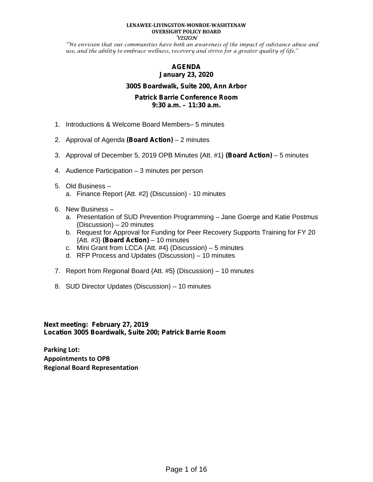#### **LENAWEE-LIVINGSTON-MONROE-WASHTENAW OVERSIGHT POLICY BOARD VISION**

"We envision that our communities have both an awareness of the impact of substance abuse and use, and the ability to embrace wellness, recovery and strive for a greater quality of life."

## **AGENDA January 23, 2020**

#### **3005 Boardwalk, Suite 200, Ann Arbor**

#### **Patrick Barrie Conference Room 9:30 a.m. – 11:30 a.m.**

- 1. Introductions & Welcome Board Members– 5 minutes
- 2. Approval of Agenda **(Board Action)** 2 minutes
- 3. Approval of December 5, 2019 OPB Minutes {Att. #1} **(Board Action)** 5 minutes
- 4. Audience Participation 3 minutes per person

#### 5. Old Business – a. Finance Report {Att. #2} (Discussion) - 10 minutes

- 6. New Business
	- a. Presentation of SUD Prevention Programming Jane Goerge and Katie Postmus (Discussion) – 20 minutes
	- b. Request for Approval for Funding for Peer Recovery Supports Training for FY 20 {Att. #3} **(Board Action)** – 10 minutes
	- c. Mini Grant from LCCA  $\{Att. #4\}$  (Discussion) 5 minutes
	- d. RFP Process and Updates (Discussion) 10 minutes
- 7. Report from Regional Board {Att. #5} (Discussion) 10 minutes
- 8. SUD Director Updates (Discussion) 10 minutes

**Next meeting: February 27, 2019 Location 3005 Boardwalk, Suite 200; Patrick Barrie Room**

**Parking Lot: Appointments to OPB Regional Board Representation**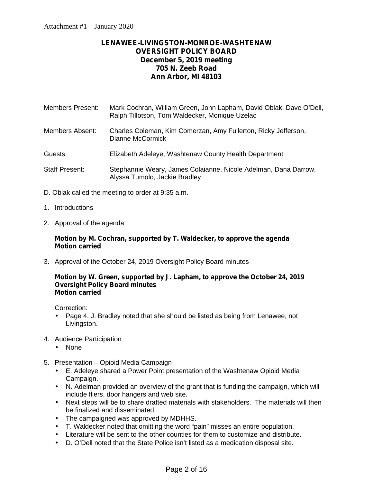# **LENAWEE-LIVINGSTON-MONROE-WASHTENAW OVERSIGHT POLICY BOARD December 5, 2019 meeting 705 N. Zeeb Road Ann Arbor, MI 48103**

- Members Present: Mark Cochran, William Green, John Lapham, David Oblak, Dave O'Dell, Ralph Tillotson, Tom Waldecker, Monique Uzelac
- Members Absent: Charles Coleman, Kim Comerzan, Amy Fullerton, Ricky Jefferson, Dianne McCormick
- Guests: Elizabeth Adeleye, Washtenaw County Health Department
- Staff Present: Stephannie Weary, James Colaianne, Nicole Adelman, Dana Darrow, Alyssa Tumolo, Jackie Bradley
- D. Oblak called the meeting to order at 9:35 a.m.
- 1. Introductions
- 2. Approval of the agenda

#### **Motion by M. Cochran, supported by T. Waldecker, to approve the agenda Motion carried**

3. Approval of the October 24, 2019 Oversight Policy Board minutes

#### **Motion by W. Green, supported by J. Lapham, to approve the October 24, 2019 Oversight Policy Board minutes Motion carried**

Correction:

- Page 4, J. Bradley noted that she should be listed as being from Lenawee, not Livingston.
- 4. Audience Participation
	- None
- 5. Presentation Opioid Media Campaign
	- E. Adeleye shared a Power Point presentation of the Washtenaw Opioid Media Campaign.
	- N. Adelman provided an overview of the grant that is funding the campaign, which will include fliers, door hangers and web site.
	- Next steps will be to share drafted materials with stakeholders. The materials will then be finalized and disseminated.
	- The campaigned was approved by MDHHS.
	- T. Waldecker noted that omitting the word "pain" misses an entire population.
	- Literature will be sent to the other counties for them to customize and distribute.
	- D. O'Dell noted that the State Police isn't listed as a medication disposal site.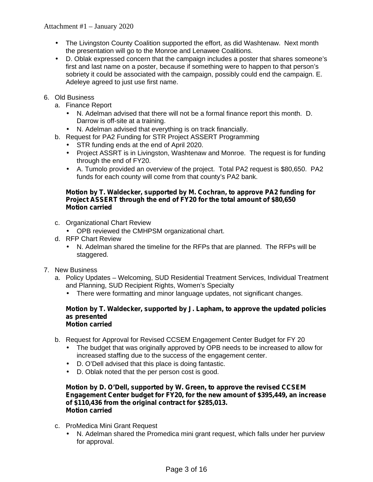- The Livingston County Coalition supported the effort, as did Washtenaw. Next month the presentation will go to the Monroe and Lenawee Coalitions.
- D. Oblak expressed concern that the campaign includes a poster that shares someone's first and last name on a poster, because if something were to happen to that person's sobriety it could be associated with the campaign, possibly could end the campaign. E. Adeleye agreed to just use first name.
- 6. Old Business
	- a. Finance Report
		- N. Adelman advised that there will not be a formal finance report this month. D. Darrow is off-site at a training.
		- N. Adelman advised that everything is on track financially.
	- b. Request for PA2 Funding for STR Project ASSERT Programming
		- STR funding ends at the end of April 2020.
		- Project ASSRT is in Livingston, Washtenaw and Monroe. The request is for funding through the end of FY20.
		- A. Tumolo provided an overview of the project. Total PA2 request is \$80,650. PA2 funds for each county will come from that county's PA2 bank.

## **Motion by T. Waldecker, supported by M. Cochran, to approve PA2 funding for Project ASSERT through the end of FY20 for the total amount of \$80,650 Motion carried**

- c. Organizational Chart Review
	- OPB reviewed the CMHPSM organizational chart.
- d. RFP Chart Review
	- N. Adelman shared the timeline for the RFPs that are planned. The RFPs will be staggered.
- 7. New Business
	- a. Policy Updates Welcoming, SUD Residential Treatment Services, Individual Treatment and Planning, SUD Recipient Rights, Women's Specialty
		- There were formatting and minor language updates, not significant changes.

#### **Motion by T. Waldecker, supported by J. Lapham, to approve the updated policies as presented Motion carried**

- b. Request for Approval for Revised CCSEM Engagement Center Budget for FY 20
	- The budget that was originally approved by OPB needs to be increased to allow for increased staffing due to the success of the engagement center.
	- D. O'Dell advised that this place is doing fantastic.
	- D. Oblak noted that the per person cost is good.

#### **Motion by D. O'Dell, supported by W. Green, to approve the revised CCSEM Engagement Center budget for FY20, for the new amount of \$395,449, an increase of \$110,436 from the original contract for \$285,013. Motion carried**

- c. ProMedica Mini Grant Request
	- N. Adelman shared the Promedica mini grant request, which falls under her purview for approval.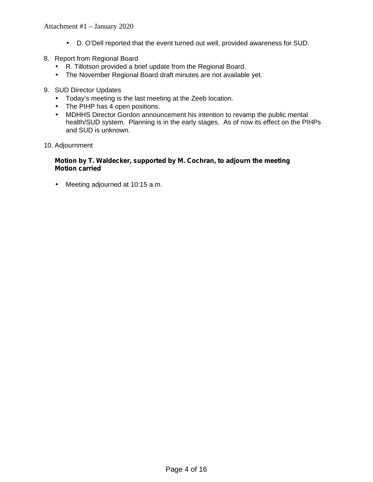- D. O'Dell reported that the event turned out well, provided awareness for SUD.
- 8. Report from Regional Board
	- R. Tillotson provided a brief update from the Regional Board.
	- The November Regional Board draft minutes are not available yet.
- 9. SUD Director Updates
	- Today's meeting is the last meeting at the Zeeb location.
	- The PIHP has 4 open positions.
	- MDHHS Director Gordon announcement his intention to revamp the public mental health/SUD system. Planning is in the early stages. As of now its effect on the PIHPs and SUD is unknown.
- 10. Adjournment

#### **Motion by T. Waldecker, supported by M. Cochran, to adjourn the meeting Motion carried**

Meeting adjourned at 10:15 a.m.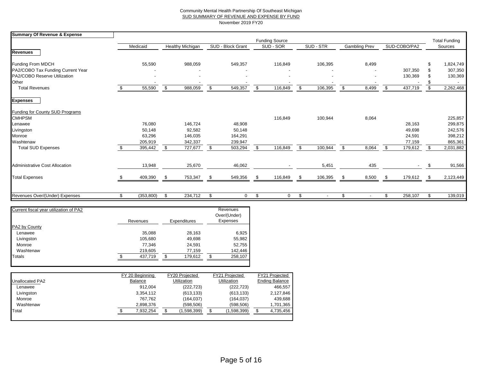#### Community Mental Health Partnership Of Southeast Michigan SUD SUMMARY OF REVENUE AND EXPENSE BY FUND November 2019 FY20

| <b>Summary Of Revenue &amp; Expense</b> |                  |                         |      |                   |    |                       |               |               |     |              |      |                      |
|-----------------------------------------|------------------|-------------------------|------|-------------------|----|-----------------------|---------------|---------------|-----|--------------|------|----------------------|
|                                         |                  |                         |      |                   |    | <b>Funding Source</b> |               |               |     |              |      | <b>Total Funding</b> |
|                                         | Medicaid         | <b>Healthy Michigan</b> |      | SUD - Block Grant |    | SUD - SOR             | SUD - STR     | Gambling Prev |     | SUD-COBO/PA2 |      | Sources              |
| <b>Revenues</b>                         |                  |                         |      |                   |    |                       |               |               |     |              |      |                      |
| Funding From MDCH                       | 55,590           | 988,059                 |      | 549,357           |    | 116,849               | 106,395       | 8,499         |     |              |      | 1,824,749            |
| PA2/COBO Tax Funding Current Year       |                  |                         |      |                   |    |                       |               |               |     | 307,350      |      | 307,350              |
| PA2/COBO Reserve Utilization            |                  |                         |      |                   |    |                       |               |               |     | 130,369      |      | 130,369              |
| Other                                   |                  |                         |      |                   |    |                       |               |               |     |              |      |                      |
| <b>Total Revenues</b>                   | 55,590           | \$<br>988,059           | \$   | 549,357           | \$ | 116,849               | \$<br>106,395 | \$<br>8,499   | \$. | 437,719      | \$   | 2,262,468            |
| <b>Expenses</b>                         |                  |                         |      |                   |    |                       |               |               |     |              |      |                      |
| Funding for County SUD Programs         |                  |                         |      |                   |    |                       |               |               |     |              |      |                      |
| <b>CMHPSM</b>                           |                  |                         |      |                   |    | 116,849               | 100,944       | 8,064         |     |              |      | 225,857              |
| Lenawee                                 | 76,080           | 146,724                 |      | 48,908            |    |                       |               |               |     | 28,163       |      | 299,875              |
| Livingston                              | 50,148           | 92,582                  |      | 50,148            |    |                       |               |               |     | 49,698       |      | 242,576              |
| Monroe                                  | 63,296           | 146,035                 |      | 164,291           |    |                       |               |               |     | 24,591       |      | 398,212              |
| Washtenaw                               | 205,919          | 342,337                 |      | 239,947           |    |                       |               |               |     | 77,159       |      | 865,361              |
| <b>Total SUD Expenses</b>               | 395,442          | \$<br>727,677           | \$   | 503,294           | \$ | 116,849               | \$<br>100,944 | \$<br>8,064   | \$  | 179,612      | \$   | 2,031,882            |
| <b>Administrative Cost Allocation</b>   | 13,948           | 25,670                  |      | 46,062            |    |                       | 5,451         | 435           |     |              | - 35 | 91,566               |
|                                         |                  |                         |      |                   |    |                       |               |               |     |              |      |                      |
| <b>Total Expenses</b>                   | 409,390          | 753,347                 | - \$ | 549,356           |    | 116,849               | \$<br>106,395 | 8,500         | \$  | 179,612      | -\$  | 2,123,449            |
|                                         |                  |                         |      |                   |    |                       |               |               |     |              |      |                      |
| Revenues Over/(Under) Expenses          | \$<br>(353, 800) | \$<br>234,712           | \$   | $\mathbf 0$       | Ŝ. | $\Omega$              | \$            | \$            | \$  | 258,107      |      | 139,019              |

|         |          |         |              | Revenues<br>Over/(Under) |
|---------|----------|---------|--------------|--------------------------|
|         |          |         |              | Expenses                 |
|         |          |         |              |                          |
| 35,088  |          | 28,163  |              | 6,925                    |
| 105,680 |          | 49,698  |              | 55,982                   |
| 77.346  |          | 24,591  |              | 52,755                   |
| 219,605 |          | 77,159  |              | 142,446                  |
| 437.719 | \$       | 179.612 | S            | 258,107                  |
|         | Revenues |         | Expenditures |                          |

|                 | FY 20 Beginning | FY20 Projected     | FY21 Projected     | FY21 Projected        |
|-----------------|-----------------|--------------------|--------------------|-----------------------|
| Unallocated PA2 | <b>Balance</b>  | <b>Utilization</b> | <b>Utilization</b> | <b>Ending Balance</b> |
| Lenawee         | 912.004         | (222, 723)         | (222, 723)         | 466,557               |
| Livingston      | 3,354,112       | (613, 133)         | (613, 133)         | 2,127,846             |
| Monroe          | 767.762         | (164, 037)         | (164, 037)         | 439,688               |
| Washtenaw       | 2.898.376       | (598, 506)         | (598, 506)         | 1,701,365             |
| Total           | 7.932.254       | (1,598,399)        | (1,598,399)        | 4,735,456             |
|                 |                 |                    |                    |                       |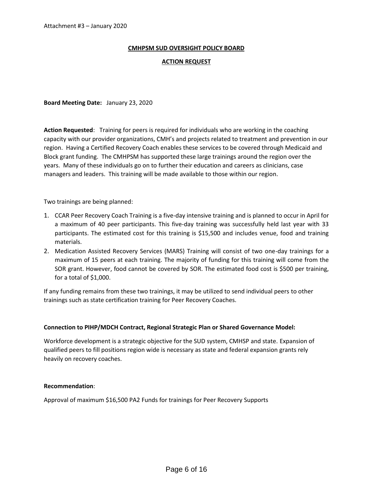#### **CMHPSM SUD OVERSIGHT POLICY BOARD**

#### **ACTION REQUEST**

**Board Meeting Date:** January 23, 2020

**Action Requested**: Training for peers is required for individuals who are working in the coaching capacity with our provider organizations, CMH's and projects related to treatment and prevention in our region. Having a Certified Recovery Coach enables these services to be covered through Medicaid and Block grant funding. The CMHPSM has supported these large trainings around the region over the years. Many of these individuals go on to further their education and careers as clinicians, case managers and leaders. This training will be made available to those within our region.

Two trainings are being planned:

- 1. CCAR Peer Recovery Coach Training is a five-day intensive training and is planned to occur in April for a maximum of 40 peer participants. This five-day training was successfully held last year with 33 participants. The estimated cost for this training is \$15,500 and includes venue, food and training materials.
- 2. Medication Assisted Recovery Services (MARS) Training will consist of two one-day trainings for a maximum of 15 peers at each training. The majority of funding for this training will come from the SOR grant. However, food cannot be covered by SOR. The estimated food cost is \$500 per training, for a total of \$1,000.

If any funding remains from these two trainings, it may be utilized to send individual peers to other trainings such as state certification training for Peer Recovery Coaches.

#### **Connection to PIHP/MDCH Contract, Regional Strategic Plan or Shared Governance Model:**

Workforce development is a strategic objective for the SUD system, CMHSP and state. Expansion of qualified peers to fill positions region wide is necessary as state and federal expansion grants rely heavily on recovery coaches.

#### **Recommendation**:

Approval of maximum \$16,500 PA2 Funds for trainings for Peer Recovery Supports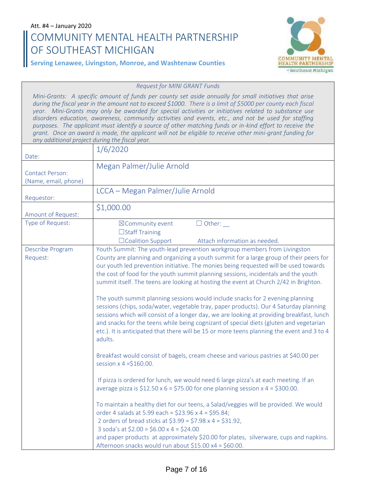# Att. #4 – January 2020 **COMMUNITY MENTAL HEALTH PARTNERSHIP OF SOUTHEAST MICHIGAN**



## **Serving Lenawee, Livingston, Monroe, and Washtenaw Counties**

#### *Request for MINI GRANT Funds*

*Mini-Grants: A specific amount of funds per county set aside annually for small initiatives that arise during the fiscal year in the amount not to exceed \$1000. There is a limit of \$5000 per county each fiscal year. Mini-Grants may only be awarded for special activities or initiatives related to substance use disorders education, awareness, community activities and events, etc., and not be used for staffing purposes. The applicant must identify a source of other matching funds or in-kind effort to receive the grant. Once an award is made, the applicant will not be eligible to receive other mini-grant funding for any additional project during the fiscal year.*

| Date:                                          | 1/6/2020                                                                                                                                                                                                                                                                                                                                                                                                                                                                                                                                                                                                                                                                                                                                                                                                                                                                                                                                                                                                                                                                                                                                                                                                                                                                                                                                                                                                                                                                                                                                                                                                                                            |
|------------------------------------------------|-----------------------------------------------------------------------------------------------------------------------------------------------------------------------------------------------------------------------------------------------------------------------------------------------------------------------------------------------------------------------------------------------------------------------------------------------------------------------------------------------------------------------------------------------------------------------------------------------------------------------------------------------------------------------------------------------------------------------------------------------------------------------------------------------------------------------------------------------------------------------------------------------------------------------------------------------------------------------------------------------------------------------------------------------------------------------------------------------------------------------------------------------------------------------------------------------------------------------------------------------------------------------------------------------------------------------------------------------------------------------------------------------------------------------------------------------------------------------------------------------------------------------------------------------------------------------------------------------------------------------------------------------------|
| <b>Contact Person:</b><br>(Name, email, phone) | Megan Palmer/Julie Arnold                                                                                                                                                                                                                                                                                                                                                                                                                                                                                                                                                                                                                                                                                                                                                                                                                                                                                                                                                                                                                                                                                                                                                                                                                                                                                                                                                                                                                                                                                                                                                                                                                           |
| Requestor:                                     | LCCA - Megan Palmer/Julie Arnold                                                                                                                                                                                                                                                                                                                                                                                                                                                                                                                                                                                                                                                                                                                                                                                                                                                                                                                                                                                                                                                                                                                                                                                                                                                                                                                                                                                                                                                                                                                                                                                                                    |
| Amount of Request:                             | \$1,000.00                                                                                                                                                                                                                                                                                                                                                                                                                                                                                                                                                                                                                                                                                                                                                                                                                                                                                                                                                                                                                                                                                                                                                                                                                                                                                                                                                                                                                                                                                                                                                                                                                                          |
| Type of Request:                               | $\Box$ Other: $\_\_$<br>⊠Community event<br>□Staff Training<br>□Coalition Support<br>Attach information as needed.                                                                                                                                                                                                                                                                                                                                                                                                                                                                                                                                                                                                                                                                                                                                                                                                                                                                                                                                                                                                                                                                                                                                                                                                                                                                                                                                                                                                                                                                                                                                  |
| Describe Program<br>Request:                   | Youth Summit: The youth-lead prevention workgroup members from Livingston<br>County are planning and organizing a youth summit for a large group of their peers for<br>our youth led prevention initiative. The monies being requested will be used towards<br>the cost of food for the youth summit planning sessions, incidentals and the youth<br>summit itself. The teens are looking at hosting the event at Church 2/42 in Brighton.<br>The youth summit planning sessions would include snacks for 2 evening planning<br>sessions (chips, soda/water, vegetable tray, paper products). Our 4 Saturday planning<br>sessions which will consist of a longer day, we are looking at providing breakfast, lunch<br>and snacks for the teens while being cognizant of special diets (gluten and vegetarian<br>etc.). It is anticipated that there will be 15 or more teens planning the event and 3 to 4<br>adults.<br>Breakfast would consist of bagels, cream cheese and various pastries at \$40.00 per<br>session $x = 4$ = \$160.00.<br>If pizza is ordered for lunch, we would need 6 large pizza's at each meeting. If an<br>average pizza is $$12.50 \times 6 = $75.00$ for one planning session $x 4 = $300.00$ .<br>To maintain a healthy diet for our teens, a Salad/veggies will be provided. We would<br>order 4 salads at 5.99 each = \$23.96 x 4 = \$95.84;<br>2 orders of bread sticks at $$3.99 = $7.98 \times 4 = $31.92$ ,<br>3 soda's at $$2.00 = $6.00 \times 4 = $24.00$<br>and paper products at approximately \$20.00 for plates, silverware, cups and napkins.<br>Afternoon snacks would run about \$15.00 x4 = \$60.00. |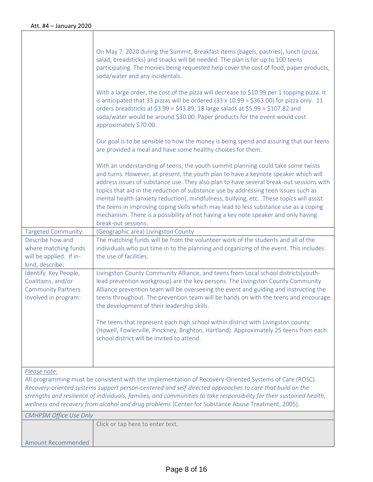| Targeted Community:<br>Describe how and<br>where matching funds<br>will be applied. If in-<br>kind, describe:<br>Identify Key People,<br>Coalitions, and/or<br><b>Community Partners</b><br>involved in program: | On May 7, 2020 during the Summit, Breakfast items (bagels, pastries), lunch (pizza,<br>salad, breadsticks) and snacks will be needed. The plan is for up to 100 teens<br>participating. The monies being requested help cover the cost of food, paper products,<br>soda/water and any incidentals.<br>With a large order, the cost of the pizza will decrease to \$10.99 per 1 topping pizza. It<br>is anticipated that 33 pizzas will be ordered $(33 \times 10.99 = $363.00)$ for pizza only. 11<br>orders breadsticks at $$3.99 = $43.89$ , 18 large salads at $$5.99 = $107.82$ and<br>soda/water would be around \$30.00. Paper products for the event would cost<br>approximately \$70.00.<br>Our goal is to be sensible to how the money is being spend and assuring that our teens<br>are provided a meal and have some healthy choices for them.<br>With an understanding of teens, the youth summit planning could take some twists<br>and turns. However, at present, the youth plan to have a keynote speaker which will<br>address issues of substance use. They also plan to have several break-out sessions with<br>topics that aid in the reduction of substance use by addressing teen issues such as<br>mental health (anxiety reduction), mindfulness, bullying, etc These topics will assist<br>the teens in improving coping skills which may lead to less substance use as a coping<br>mechanism. There is a possibility of not having a key note speaker and only having<br>break-out sessions.<br>(Geographic area) Livingston County<br>The matching funds will be from the volunteer work of the students and all of the<br>individuals who put time in to the planning and organizing of the event. This includes<br>the use of facilities.<br>Livingston County Community Alliance, and teens from Local school districts(youth-<br>lead prevention workgroup) are the key persons. The Livingston County Community<br>Alliance prevention team will be overseeing the event and guiding and instructing the<br>teens throughout. The prevention team will be hands on with the teens and encourage<br>the development of their leadership skills. |
|------------------------------------------------------------------------------------------------------------------------------------------------------------------------------------------------------------------|--------------------------------------------------------------------------------------------------------------------------------------------------------------------------------------------------------------------------------------------------------------------------------------------------------------------------------------------------------------------------------------------------------------------------------------------------------------------------------------------------------------------------------------------------------------------------------------------------------------------------------------------------------------------------------------------------------------------------------------------------------------------------------------------------------------------------------------------------------------------------------------------------------------------------------------------------------------------------------------------------------------------------------------------------------------------------------------------------------------------------------------------------------------------------------------------------------------------------------------------------------------------------------------------------------------------------------------------------------------------------------------------------------------------------------------------------------------------------------------------------------------------------------------------------------------------------------------------------------------------------------------------------------------------------------------------------------------------------------------------------------------------------------------------------------------------------------------------------------------------------------------------------------------------------------------------------------------------------------------------------------------------------------------------------------------------------------------------------------------------------------------------------------------------------------|
|                                                                                                                                                                                                                  | The teens that represent each high school within district with Livingston county<br>(Howell, Fowlerville, Pinckney, Brighton, Hartland). Approximately 25 teens from each<br>school district will be invited to attend.                                                                                                                                                                                                                                                                                                                                                                                                                                                                                                                                                                                                                                                                                                                                                                                                                                                                                                                                                                                                                                                                                                                                                                                                                                                                                                                                                                                                                                                                                                                                                                                                                                                                                                                                                                                                                                                                                                                                                        |
| Please note:                                                                                                                                                                                                     | All programming must be consistent with the implementation of Recovery-Oriented Systems of Care (ROSC).<br>Recovery-oriented systems support person-centered and self-directed approaches to care that build on the<br>strengths and resilience of individuals, families, and communities to take responsibility for their sustained health,<br>wellness and recovery from alcohol and drug problems (Center for Substance Abuse Treatment, 2005).                                                                                                                                                                                                                                                                                                                                                                                                                                                                                                                                                                                                                                                                                                                                                                                                                                                                                                                                                                                                                                                                                                                                                                                                                                                                                                                                                                                                                                                                                                                                                                                                                                                                                                                             |
| <b>CMHPSM Office Use Only</b>                                                                                                                                                                                    |                                                                                                                                                                                                                                                                                                                                                                                                                                                                                                                                                                                                                                                                                                                                                                                                                                                                                                                                                                                                                                                                                                                                                                                                                                                                                                                                                                                                                                                                                                                                                                                                                                                                                                                                                                                                                                                                                                                                                                                                                                                                                                                                                                                |
|                                                                                                                                                                                                                  | Click or tap here to enter text.                                                                                                                                                                                                                                                                                                                                                                                                                                                                                                                                                                                                                                                                                                                                                                                                                                                                                                                                                                                                                                                                                                                                                                                                                                                                                                                                                                                                                                                                                                                                                                                                                                                                                                                                                                                                                                                                                                                                                                                                                                                                                                                                               |
| <b>Amount Recommended</b>                                                                                                                                                                                        |                                                                                                                                                                                                                                                                                                                                                                                                                                                                                                                                                                                                                                                                                                                                                                                                                                                                                                                                                                                                                                                                                                                                                                                                                                                                                                                                                                                                                                                                                                                                                                                                                                                                                                                                                                                                                                                                                                                                                                                                                                                                                                                                                                                |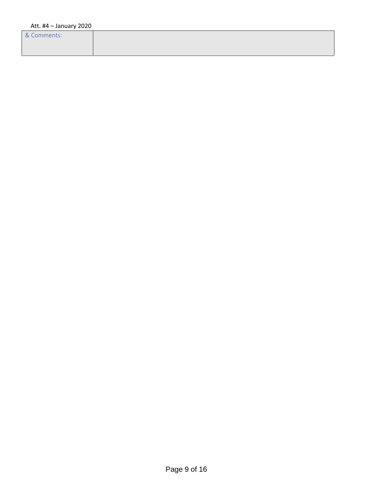& Comments: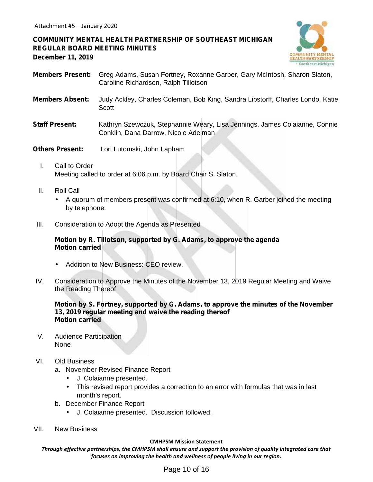# **COMMUNITY MENTAL HEALTH PARTNERSHIP OF SOUTHEAST MICHIGAN REGULAR BOARD MEETING MINUTES December 11, 2019**



- **Members Present:** Greg Adams, Susan Fortney, Roxanne Garber, Gary McIntosh, Sharon Slaton, Caroline Richardson, Ralph Tillotson
- **Members Absent:** Judy Ackley, Charles Coleman, Bob King, Sandra Libstorff, Charles Londo, Katie **Scott**
- **Staff Present:** Kathryn Szewczuk, Stephannie Weary, Lisa Jennings, James Colaianne, Connie Conklin, Dana Darrow, Nicole Adelman
- **Others Present:** Lori Lutomski, John Lapham
	- I. Call to Order Meeting called to order at 6:06 p.m. by Board Chair S. Slaton.
	- II. Roll Call
		- A quorum of members present was confirmed at 6:10, when R. Garber joined the meeting by telephone.
- III. Consideration to Adopt the Agenda as Presented

#### **Motion by R. Tillotson, supported by G. Adams, to approve the agenda Motion carried**

- Addition to New Business: CEO review.
- IV. Consideration to Approve the Minutes of the November 13, 2019 Regular Meeting and Waive the Reading Thereof

#### **Motion by S. Fortney, supported by G. Adams, to approve the minutes of the November 13, 2019 regular meeting and waive the reading thereof Motion carried**

- V. Audience Participation None
- VI. Old Business
	- a. November Revised Finance Report
		- J. Colaianne presented.
		- This revised report provides a correction to an error with formulas that was in last month's report.
	- b. December Finance Report
		- J. Colaianne presented. Discussion followed.
- VII. New Business

#### **CMHPSM Mission Statement**

*Through effective partnerships, the CMHPSM shall ensure and support the provision of quality integrated care that focuses on improving the health and wellness of people living in our region.*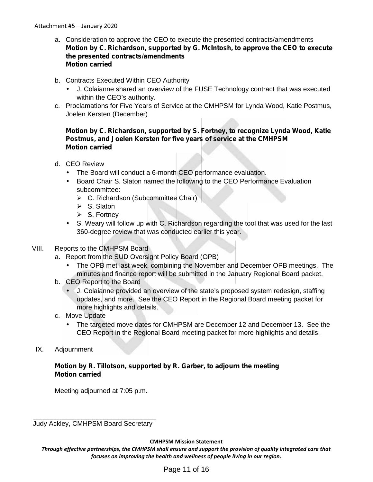- a. Consideration to approve the CEO to execute the presented contracts/amendments **Motion by C. Richardson, supported by G. McIntosh, to approve the CEO to execute the presented contracts/amendments Motion carried**
- b. Contracts Executed Within CEO Authority
	- J. Colaianne shared an overview of the FUSE Technology contract that was executed within the CEO's authority.
- c. Proclamations for Five Years of Service at the CMHPSM for Lynda Wood, Katie Postmus, Joelen Kersten (December)

## **Motion by C. Richardson, supported by S. Fortney, to recognize Lynda Wood, Katie Postmus, and Joelen Kersten for five years of service at the CMHPSM Motion carried**

- d. CEO Review
	- The Board will conduct a 6-month CEO performance evaluation.
	- Board Chair S. Slaton named the following to the CEO Performance Evaluation subcommittee:
		- $\triangleright$  C. Richardson (Subcommittee Chair)
		- $\triangleright$  S. Slaton
		- $\triangleright$  S. Fortney
	- S. Weary will follow up with C. Richardson regarding the tool that was used for the last 360-degree review that was conducted earlier this year.

# VIII. Reports to the CMHPSM Board

- a. Report from the SUD Oversight Policy Board (OPB)
	- The OPB met last week, combining the November and December OPB meetings. The minutes and finance report will be submitted in the January Regional Board packet.
- b. CEO Report to the Board
	- J. Colaianne provided an overview of the state's proposed system redesign, staffing updates, and more. See the CEO Report in the Regional Board meeting packet for more highlights and details.
- c. Move Update
	- The targeted move dates for CMHPSM are December 12 and December 13. See the CEO Report in the Regional Board meeting packet for more highlights and details.
- IX. Adjournment

## **Motion by R. Tillotson, supported by R. Garber, to adjourn the meeting Motion carried**

Meeting adjourned at 7:05 p.m.

\_\_\_\_\_\_\_\_\_\_\_\_\_\_\_\_\_\_\_\_\_\_\_\_\_\_\_\_\_\_\_\_\_ Judy Ackley, CMHPSM Board Secretary

**CMHPSM Mission Statement**

*Through effective partnerships, the CMHPSM shall ensure and support the provision of quality integrated care that focuses on improving the health and wellness of people living in our region.*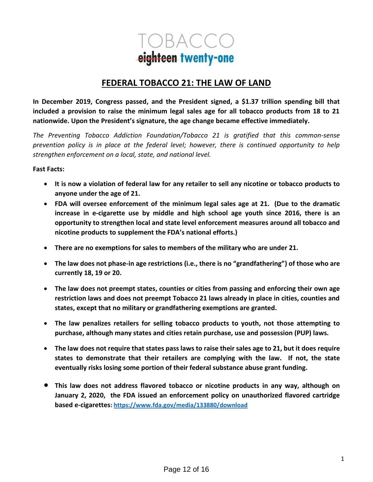

# **FEDERAL TOBACCO 21: THE LAW OF LAND**

**In December 2019, Congress passed, and the President signed, a \$1.37 trillion spending bill that included a provision to raise the minimum legal sales age for all tobacco products from 18 to 21 nationwide. Upon the President's signature, the age change became effective immediately.**

*The Preventing Tobacco Addiction Foundation/Tobacco 21 is gratified that this common-sense prevention policy is in place at the federal level; however, there is continued opportunity to help strengthen enforcement on a local, state, and national level.* 

## **Fast Facts:**

- **It is now a violation of federal law for any retailer to sell any nicotine or tobacco products to anyone under the age of 21.**
- **FDA will oversee enforcement of the minimum legal sales age at 21. (Due to the dramatic increase in e-cigarette use by middle and high school age youth since 2016, there is an opportunity to strengthen local and state level enforcement measures around all tobacco and nicotine products to supplement the FDA's national efforts.)**
- **There are no exemptions for sales to members of the military who are under 21.**
- **The law does not phase-in age restrictions (i.e., there is no "grandfathering") of those who are currently 18, 19 or 20.**
- **The law does not preempt states, counties or cities from passing and enforcing their own age restriction laws and does not preempt Tobacco 21 laws already in place in cities, counties and states, except that no military or grandfathering exemptions are granted.**
- **The law penalizes retailers for selling tobacco products to youth, not those attempting to purchase, although many states and cities retain purchase, use and possession (PUP) laws.**
- **The law does not require that states pass laws to raise their sales age to 21, but it does require states to demonstrate that their retailers are complying with the law. If not, the state eventually risks losing some portion of their federal substance abuse grant funding.**
- **This law does not address flavored tobacco or nicotine products in any way, although on January 2, 2020, the FDA issued an enforcement policy on unauthorized flavored cartridge based e-cigarettes[: https://www.fda.gov/media/133880/download](https://www.fda.gov/media/133880/download)**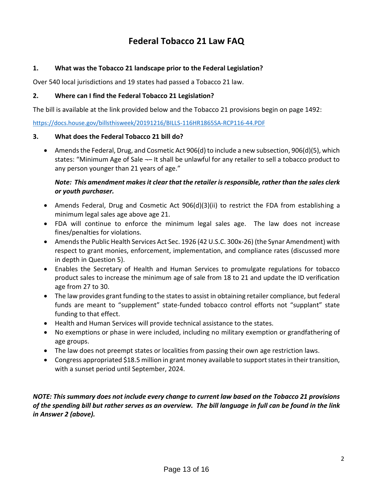# **Federal Tobacco 21 Law FAQ**

# **1. What was the Tobacco 21 landscape prior to the Federal Legislation?**

Over 540 local jurisdictions and 19 states had passed a Tobacco 21 law.

## **2. Where can I find the Federal Tobacco 21 Legislation?**

The bill is available at the link provided below and the Tobacco 21 provisions begin on page 1492:

<https://docs.house.gov/billsthisweek/20191216/BILLS-116HR1865SA-RCP116-44.PDF>

## **3. What does the Federal Tobacco 21 bill do?**

• Amends the Federal, Drug, and Cosmetic Act 906(d) to include a new subsection, 906(d)(5), which states: "Minimum Age of Sale ¬– It shall be unlawful for any retailer to sell a tobacco product to any person younger than 21 years of age."

# *Note: This amendment makes it clear that the retailer is responsible, rather than the sales clerk or youth purchaser.*

- Amends Federal, Drug and Cosmetic Act 906(d)(3)(ii) to restrict the FDA from establishing a minimum legal sales age above age 21.
- FDA will continue to enforce the minimum legal sales age. The law does not increase fines/penalties for violations.
- Amends the Public Health Services Act Sec. 1926 (42 U.S.C. 300x-26) (the Synar Amendment) with respect to grant monies, enforcement, implementation, and compliance rates (discussed more in depth in Question 5).
- Enables the Secretary of Health and Human Services to promulgate regulations for tobacco product sales to increase the minimum age of sale from 18 to 21 and update the ID verification age from 27 to 30.
- The law provides grant funding to the states to assist in obtaining retailer compliance, but federal funds are meant to "supplement" state-funded tobacco control efforts not "supplant" state funding to that effect.
- Health and Human Services will provide technical assistance to the states.
- No exemptions or phase in were included, including no military exemption or grandfathering of age groups.
- The law does not preempt states or localities from passing their own age restriction laws.
- Congress appropriated \$18.5 million in grant money available to support states in their transition, with a sunset period until September, 2024.

*NOTE: This summary does not include every change to current law based on the Tobacco 21 provisions of the spending bill but rather serves as an overview. The bill language in full can be found in the link in Answer 2 (above).*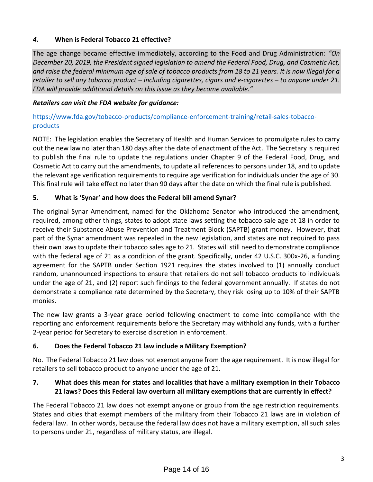# *4.* **When is Federal Tobacco 21 effective?**

The age change became effective immediately, according to the Food and Drug Administration: *"On December 20, 2019, the President signed legislation to amend the Federal Food, Drug, and Cosmetic Act, and raise the federal minimum age of sale of tobacco products from 18 to 21 years. It is now illegal for a retailer to sell any tobacco product – including cigarettes, cigars and e-cigarettes – to anyone under 21. FDA will provide additional details on this issue as they become available."*

# *Retailers can visit the FDA website for guidance:*

# [https://www.fda.gov/tobacco-products/compliance-enforcement-training/retail-sales-tobacco](https://www.fda.gov/tobacco-products/compliance-enforcement-training/retail-sales-tobacco-products)[products](https://www.fda.gov/tobacco-products/compliance-enforcement-training/retail-sales-tobacco-products)

NOTE: The legislation enables the Secretary of Health and Human Services to promulgate rules to carry out the new law no later than 180 days after the date of enactment of the Act. The Secretary is required to publish the final rule to update the regulations under Chapter 9 of the Federal Food, Drug, and Cosmetic Act to carry out the amendments, to update all references to persons under 18, and to update the relevant age verification requirements to require age verification for individuals under the age of 30. This final rule will take effect no later than 90 days after the date on which the final rule is published.

# **5. What is 'Synar' and how does the Federal bill amend Synar?**

The original Synar Amendment, named for the Oklahoma Senator who introduced the amendment, required, among other things, states to adopt state laws setting the tobacco sale age at 18 in order to receive their Substance Abuse Prevention and Treatment Block (SAPTB) grant money. However, that part of the Synar amendment was repealed in the new legislation, and states are not required to pass their own laws to update their tobacco sales age to 21. States will still need to demonstrate compliance with the federal age of 21 as a condition of the grant. Specifically, under 42 U.S.C. 300x-26, a funding agreement for the SAPTB under Section 1921 requires the states involved to (1) annually conduct random, unannounced inspections to ensure that retailers do not sell tobacco products to individuals under the age of 21, and (2) report such findings to the federal government annually. If states do not demonstrate a compliance rate determined by the Secretary, they risk losing up to 10% of their SAPTB monies.

The new law grants a 3-year grace period following enactment to come into compliance with the reporting and enforcement requirements before the Secretary may withhold any funds, with a further 2-year period for Secretary to exercise discretion in enforcement.

# **6. Does the Federal Tobacco 21 law include a Military Exemption?**

No. The Federal Tobacco 21 law does not exempt anyone from the age requirement. It is now illegal for retailers to sell tobacco product to anyone under the age of 21.

# **7. What does this mean for states and localities that have a military exemption in their Tobacco 21 laws? Does this Federal law overturn all military exemptions that are currently in effect?**

The Federal Tobacco 21 law does not exempt anyone or group from the age restriction requirements. States and cities that exempt members of the military from their Tobacco 21 laws are in violation of federal law. In other words, because the federal law does not have a military exemption, all such sales to persons under 21, regardless of military status, are illegal.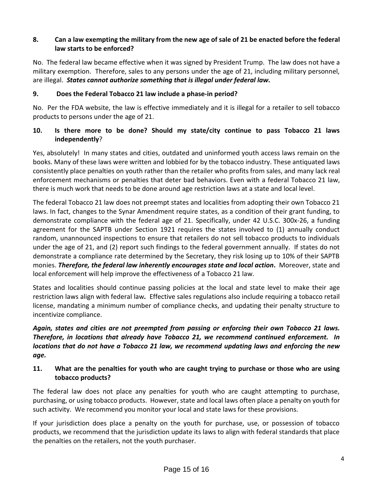# **8. Can a law exempting the military from the new age of sale of 21 be enacted before the federal law starts to be enforced?**

No. The federal law became effective when it was signed by President Trump. The law does not have a military exemption. Therefore, sales to any persons under the age of 21, including military personnel, are illegal. *States cannot authorize something that is illegal under federal law.*

# **9. Does the Federal Tobacco 21 law include a phase-in period?**

No. Per the FDA website, the law is effective immediately and it is illegal for a retailer to sell tobacco products to persons under the age of 21.

# **10. Is there more to be done? Should my state/city continue to pass Tobacco 21 laws independently**?

Yes, absolutely! In many states and cities, outdated and uninformed youth access laws remain on the books. Many of these laws were written and lobbied for by the tobacco industry. These antiquated laws consistently place penalties on youth rather than the retailer who profits from sales, and many lack real enforcement mechanisms or penalties that deter bad behaviors. Even with a federal Tobacco 21 law, there is much work that needs to be done around age restriction laws at a state and local level.

The federal Tobacco 21 law does not preempt states and localities from adopting their own Tobacco 21 laws. In fact, changes to the Synar Amendment require states, as a condition of their grant funding, to demonstrate compliance with the federal age of 21. Specifically, under 42 U.S.C. 300x-26, a funding agreement for the SAPTB under Section 1921 requires the states involved to (1) annually conduct random, unannounced inspections to ensure that retailers do not sell tobacco products to individuals under the age of 21, and (2) report such findings to the federal government annually. If states do not demonstrate a compliance rate determined by the Secretary, they risk losing up to 10% of their SAPTB monies. *Therefore, the federal law inherently encourages state and local action***.** Moreover, state and local enforcement will help improve the effectiveness of a Tobacco 21 law.

States and localities should continue passing policies at the local and state level to make their age restriction laws align with federal law*.* Effective sales regulations also include requiring a tobacco retail license, mandating a minimum number of compliance checks, and updating their penalty structure to incentivize compliance.

*Again, states and cities are not preempted from passing or enforcing their own Tobacco 21 laws. Therefore, in locations that already have Tobacco 21, we recommend continued enforcement. In locations that do not have a Tobacco 21 law, we recommend updating laws and enforcing the new age.*

# **11. What are the penalties for youth who are caught trying to purchase or those who are using tobacco products?**

The federal law does not place any penalties for youth who are caught attempting to purchase, purchasing, or using tobacco products. However, state and local laws often place a penalty on youth for such activity. We recommend you monitor your local and state laws for these provisions.

If your jurisdiction does place a penalty on the youth for purchase, use, or possession of tobacco products, we recommend that the jurisdiction update its laws to align with federal standards that place the penalties on the retailers, not the youth purchaser.